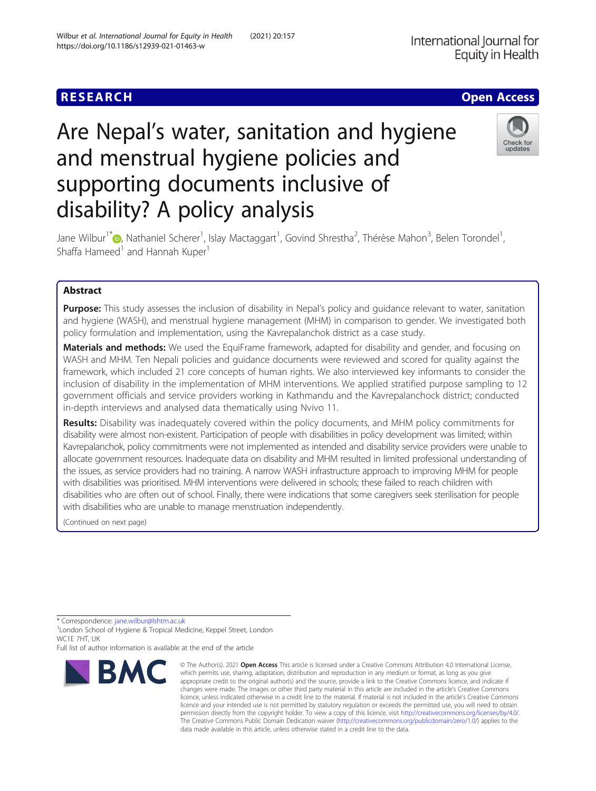## **RESEARCH CHE Open Access**

# Are Nepal's water, sanitation and hygiene and menstrual hygiene policies and supporting documents inclusive of disability? A policy analysis

Jane Wilbur<sup>1[\\*](http://orcid.org/0000-0002-5329-1337)</sup> , Nathaniel Scherer<sup>1</sup>, Islay Mactaggart<sup>1</sup>, Govind Shrestha<sup>2</sup>, Thérèse Mahon<sup>3</sup>, Belen Torondel<sup>1</sup> , Shaffa Hameed<sup>1</sup> and Hannah Kuper<sup>1</sup>

## Abstract

Purpose: This study assesses the inclusion of disability in Nepal's policy and quidance relevant to water, sanitation and hygiene (WASH), and menstrual hygiene management (MHM) in comparison to gender. We investigated both policy formulation and implementation, using the Kavrepalanchok district as a case study.

Materials and methods: We used the EquiFrame framework, adapted for disability and gender, and focusing on WASH and MHM. Ten Nepali policies and guidance documents were reviewed and scored for quality against the framework, which included 21 core concepts of human rights. We also interviewed key informants to consider the inclusion of disability in the implementation of MHM interventions. We applied stratified purpose sampling to 12 government officials and service providers working in Kathmandu and the Kavrepalanchock district; conducted in-depth interviews and analysed data thematically using Nvivo 11.

Results: Disability was inadequately covered within the policy documents, and MHM policy commitments for disability were almost non-existent. Participation of people with disabilities in policy development was limited; within Kavrepalanchok, policy commitments were not implemented as intended and disability service providers were unable to allocate government resources. Inadequate data on disability and MHM resulted in limited professional understanding of the issues, as service providers had no training. A narrow WASH infrastructure approach to improving MHM for people with disabilities was prioritised. MHM interventions were delivered in schools; these failed to reach children with disabilities who are often out of school. Finally, there were indications that some caregivers seek sterilisation for people with disabilities who are unable to manage menstruation independently.

(Continued on next page)

\* Correspondence: [jane.wilbur@lshtm.ac.uk](mailto:jane.wilbur@lshtm.ac.uk) <sup>1</sup>

<sup>1</sup> London School of Hygiene & Tropical Medicine, Keppel Street, London WC1F 7HT, UK

Full list of author information is available at the end of the article







<sup>©</sup> The Author(s), 2021 **Open Access** This article is licensed under a Creative Commons Attribution 4.0 International License, which permits use, sharing, adaptation, distribution and reproduction in any medium or format, as long as you give appropriate credit to the original author(s) and the source, provide a link to the Creative Commons licence, and indicate if changes were made. The images or other third party material in this article are included in the article's Creative Commons licence, unless indicated otherwise in a credit line to the material. If material is not included in the article's Creative Commons licence and your intended use is not permitted by statutory regulation or exceeds the permitted use, you will need to obtain permission directly from the copyright holder. To view a copy of this licence, visit [http://creativecommons.org/licenses/by/4.0/.](http://creativecommons.org/licenses/by/4.0/) The Creative Commons Public Domain Dedication waiver [\(http://creativecommons.org/publicdomain/zero/1.0/](http://creativecommons.org/publicdomain/zero/1.0/)) applies to the data made available in this article, unless otherwise stated in a credit line to the data.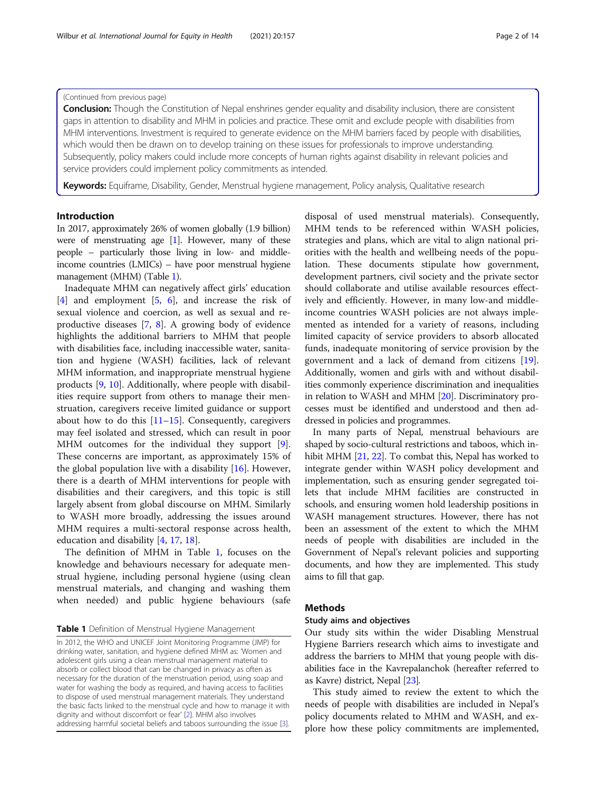## (Continued from previous page)

**Conclusion:** Though the Constitution of Nepal enshrines gender equality and disability inclusion, there are consistent gaps in attention to disability and MHM in policies and practice. These omit and exclude people with disabilities from MHM interventions. Investment is required to generate evidence on the MHM barriers faced by people with disabilities, which would then be drawn on to develop training on these issues for professionals to improve understanding. Subsequently, policy makers could include more concepts of human rights against disability in relevant policies and service providers could implement policy commitments as intended.

Keywords: Equiframe, Disability, Gender, Menstrual hygiene management, Policy analysis, Qualitative research

## Introduction

In 2017, approximately 26% of women globally (1.9 billion) were of menstruating age [\[1](#page-11-0)]. However, many of these people – particularly those living in low- and middleincome countries (LMICs) – have poor menstrual hygiene management (MHM) (Table 1).

Inadequate MHM can negatively affect girls' education [[4\]](#page-11-0) and employment [[5](#page-11-0), [6](#page-12-0)], and increase the risk of sexual violence and coercion, as well as sexual and reproductive diseases [\[7](#page-12-0), [8\]](#page-12-0). A growing body of evidence highlights the additional barriers to MHM that people with disabilities face, including inaccessible water, sanitation and hygiene (WASH) facilities, lack of relevant MHM information, and inappropriate menstrual hygiene products [[9,](#page-12-0) [10\]](#page-12-0). Additionally, where people with disabilities require support from others to manage their menstruation, caregivers receive limited guidance or support about how to do this  $[11–15]$  $[11–15]$  $[11–15]$ . Consequently, caregivers may feel isolated and stressed, which can result in poor MHM outcomes for the individual they support [\[9](#page-12-0)]. These concerns are important, as approximately 15% of the global population live with a disability  $[16]$  $[16]$ . However, there is a dearth of MHM interventions for people with disabilities and their caregivers, and this topic is still largely absent from global discourse on MHM. Similarly to WASH more broadly, addressing the issues around MHM requires a multi-sectoral response across health, education and disability [[4,](#page-11-0) [17,](#page-12-0) [18\]](#page-12-0).

The definition of MHM in Table 1, focuses on the knowledge and behaviours necessary for adequate menstrual hygiene, including personal hygiene (using clean menstrual materials, and changing and washing them when needed) and public hygiene behaviours (safe

Table 1 Definition of Menstrual Hygiene Management

disposal of used menstrual materials). Consequently, MHM tends to be referenced within WASH policies, strategies and plans, which are vital to align national priorities with the health and wellbeing needs of the population. These documents stipulate how government, development partners, civil society and the private sector should collaborate and utilise available resources effectively and efficiently. However, in many low-and middleincome countries WASH policies are not always implemented as intended for a variety of reasons, including limited capacity of service providers to absorb allocated funds, inadequate monitoring of service provision by the government and a lack of demand from citizens [\[19](#page-12-0)]. Additionally, women and girls with and without disabilities commonly experience discrimination and inequalities in relation to WASH and MHM [[20\]](#page-12-0). Discriminatory processes must be identified and understood and then addressed in policies and programmes.

In many parts of Nepal, menstrual behaviours are shaped by socio-cultural restrictions and taboos, which in-hibit MHM [\[21,](#page-12-0) [22](#page-12-0)]. To combat this, Nepal has worked to integrate gender within WASH policy development and implementation, such as ensuring gender segregated toilets that include MHM facilities are constructed in schools, and ensuring women hold leadership positions in WASH management structures. However, there has not been an assessment of the extent to which the MHM needs of people with disabilities are included in the Government of Nepal's relevant policies and supporting documents, and how they are implemented. This study aims to fill that gap.

## **Methods**

## Study aims and objectives

Our study sits within the wider Disabling Menstrual Hygiene Barriers research which aims to investigate and address the barriers to MHM that young people with disabilities face in the Kavrepalanchok (hereafter referred to as Kavre) district, Nepal [\[23\]](#page-12-0).

This study aimed to review the extent to which the needs of people with disabilities are included in Nepal's policy documents related to MHM and WASH, and explore how these policy commitments are implemented,

In 2012, the WHO and UNICEF Joint Monitoring Programme (JMP) for drinking water, sanitation, and hygiene defined MHM as: 'Women and adolescent girls using a clean menstrual management material to absorb or collect blood that can be changed in privacy as often as necessary for the duration of the menstruation period, using soap and water for washing the body as required, and having access to facilities to dispose of used menstrual management materials. They understand the basic facts linked to the menstrual cycle and how to manage it with dignity and without discomfort or fear' [\[2\]](#page-11-0). MHM also involves addressing harmful societal beliefs and taboos surrounding the issue [[3\]](#page-11-0).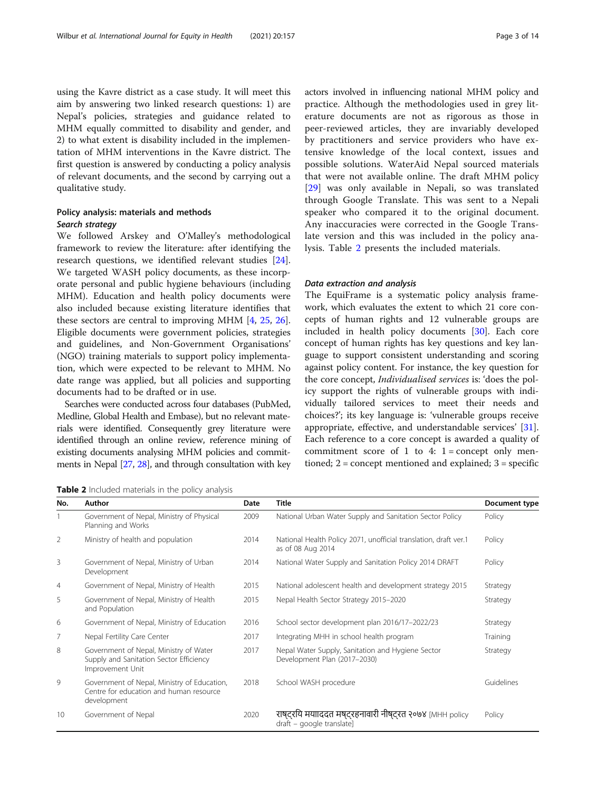using the Kavre district as a case study. It will meet this aim by answering two linked research questions: 1) are Nepal's policies, strategies and guidance related to MHM equally committed to disability and gender, and 2) to what extent is disability included in the implementation of MHM interventions in the Kavre district. The first question is answered by conducting a policy analysis of relevant documents, and the second by carrying out a qualitative study.

## Policy analysis: materials and methods Search strategy

We followed Arskey and O'Malley's methodological framework to review the literature: after identifying the research questions, we identified relevant studies [\[24](#page-12-0)]. We targeted WASH policy documents, as these incorporate personal and public hygiene behaviours (including MHM). Education and health policy documents were also included because existing literature identifies that these sectors are central to improving MHM [[4](#page-11-0), [25,](#page-12-0) [26](#page-12-0)]. Eligible documents were government policies, strategies and guidelines, and Non-Government Organisations' (NGO) training materials to support policy implementation, which were expected to be relevant to MHM. No date range was applied, but all policies and supporting documents had to be drafted or in use.

Searches were conducted across four databases (PubMed, Medline, Global Health and Embase), but no relevant materials were identified. Consequently grey literature were identified through an online review, reference mining of existing documents analysing MHM policies and commitments in Nepal [\[27](#page-12-0), [28\]](#page-12-0), and through consultation with key actors involved in influencing national MHM policy and practice. Although the methodologies used in grey literature documents are not as rigorous as those in peer-reviewed articles, they are invariably developed by practitioners and service providers who have extensive knowledge of the local context, issues and possible solutions. WaterAid Nepal sourced materials that were not available online. The draft MHM policy [[29\]](#page-12-0) was only available in Nepali, so was translated through Google Translate. This was sent to a Nepali speaker who compared it to the original document. Any inaccuracies were corrected in the Google Translate version and this was included in the policy analysis. Table 2 presents the included materials.

#### Data extraction and analysis

The EquiFrame is a systematic policy analysis framework, which evaluates the extent to which 21 core concepts of human rights and 12 vulnerable groups are included in health policy documents [[30](#page-12-0)]. Each core concept of human rights has key questions and key language to support consistent understanding and scoring against policy content. For instance, the key question for the core concept, Individualised services is: 'does the policy support the rights of vulnerable groups with individually tailored services to meet their needs and choices?'; its key language is: 'vulnerable groups receive appropriate, effective, and understandable services' [\[31](#page-12-0)]. Each reference to a core concept is awarded a quality of commitment score of 1 to 4:  $1 =$  concept only mentioned; 2 = concept mentioned and explained; 3 = specific

| Table 2 Included materials in the policy analysis |  |
|---------------------------------------------------|--|
|---------------------------------------------------|--|

| No.            | Author                                                                                                | <b>Date</b> | <b>Title</b>                                                                           | Document type |
|----------------|-------------------------------------------------------------------------------------------------------|-------------|----------------------------------------------------------------------------------------|---------------|
|                | Government of Nepal, Ministry of Physical<br>Planning and Works                                       | 2009        | National Urban Water Supply and Sanitation Sector Policy                               | Policy        |
| 2              | Ministry of health and population                                                                     | 2014        | National Health Policy 2071, unofficial translation, draft ver.1<br>as of 08 Aug 2014  | Policy        |
| 3              | Government of Nepal, Ministry of Urban<br>Development                                                 | 2014        | National Water Supply and Sanitation Policy 2014 DRAFT                                 | Policy        |
| $\overline{4}$ | Government of Nepal, Ministry of Health                                                               | 2015        | National adolescent health and development strategy 2015                               | Strategy      |
| 5              | Government of Nepal, Ministry of Health<br>and Population                                             | 2015        | Nepal Health Sector Strategy 2015-2020                                                 | Strategy      |
| 6              | Government of Nepal, Ministry of Education                                                            | 2016        | School sector development plan 2016/17-2022/23                                         | Strategy      |
| 7              | Nepal Fertility Care Center                                                                           | 2017        | Integrating MHH in school health program                                               | Training      |
| 8              | Government of Nepal, Ministry of Water<br>Supply and Sanitation Sector Efficiency<br>Improvement Unit | 2017        | Nepal Water Supply, Sanitation and Hygiene Sector<br>Development Plan (2017-2030)      | Strategy      |
| 9              | Government of Nepal, Ministry of Education,<br>Centre for education and human resource<br>development | 2018        | School WASH procedure                                                                  | Guidelines    |
| 10             | Government of Nepal                                                                                   | 2020        | राष्ट्रयि मयादिदत मष्ट्रहनावारी नीष्ट्रत २०७४ [MHH policy<br>draft - google translate] | Policy        |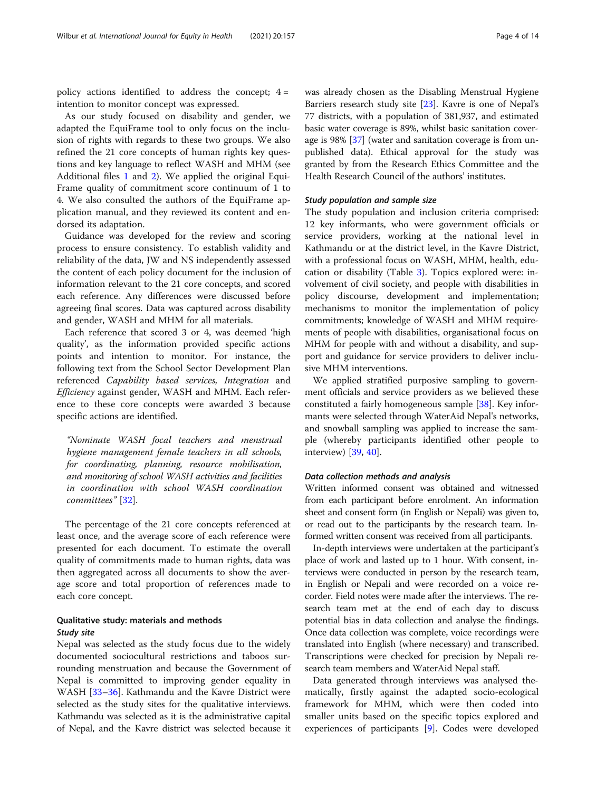policy actions identified to address the concept;  $4 =$ intention to monitor concept was expressed.

As our study focused on disability and gender, we adapted the EquiFrame tool to only focus on the inclusion of rights with regards to these two groups. We also refined the 21 core concepts of human rights key questions and key language to reflect WASH and MHM (see Additional files [1](#page-11-0) and [2](#page-11-0)). We applied the original Equi-Frame quality of commitment score continuum of 1 to 4. We also consulted the authors of the EquiFrame application manual, and they reviewed its content and endorsed its adaptation.

Guidance was developed for the review and scoring process to ensure consistency. To establish validity and reliability of the data, JW and NS independently assessed the content of each policy document for the inclusion of information relevant to the 21 core concepts, and scored each reference. Any differences were discussed before agreeing final scores. Data was captured across disability and gender, WASH and MHM for all materials.

Each reference that scored 3 or 4, was deemed 'high quality', as the information provided specific actions points and intention to monitor. For instance, the following text from the School Sector Development Plan referenced Capability based services, Integration and Efficiency against gender, WASH and MHM. Each reference to these core concepts were awarded 3 because specific actions are identified.

"Nominate WASH focal teachers and menstrual hygiene management female teachers in all schools, for coordinating, planning, resource mobilisation, and monitoring of school WASH activities and facilities in coordination with school WASH coordination committees" [[32](#page-12-0)].

The percentage of the 21 core concepts referenced at least once, and the average score of each reference were presented for each document. To estimate the overall quality of commitments made to human rights, data was then aggregated across all documents to show the average score and total proportion of references made to each core concept.

## Qualitative study: materials and methods Study site

Nepal was selected as the study focus due to the widely documented sociocultural restrictions and taboos surrounding menstruation and because the Government of Nepal is committed to improving gender equality in WASH [\[33](#page-12-0)–[36\]](#page-12-0). Kathmandu and the Kavre District were selected as the study sites for the qualitative interviews. Kathmandu was selected as it is the administrative capital of Nepal, and the Kavre district was selected because it was already chosen as the Disabling Menstrual Hygiene Barriers research study site [\[23\]](#page-12-0). Kavre is one of Nepal's 77 districts, with a population of 381,937, and estimated basic water coverage is 89%, whilst basic sanitation coverage is 98% [\[37\]](#page-12-0) (water and sanitation coverage is from unpublished data). Ethical approval for the study was granted by from the Research Ethics Committee and the Health Research Council of the authors' institutes.

## Study population and sample size

The study population and inclusion criteria comprised: 12 key informants, who were government officials or service providers, working at the national level in Kathmandu or at the district level, in the Kavre District, with a professional focus on WASH, MHM, health, education or disability (Table [3\)](#page-4-0). Topics explored were: involvement of civil society, and people with disabilities in policy discourse, development and implementation; mechanisms to monitor the implementation of policy commitments; knowledge of WASH and MHM requirements of people with disabilities, organisational focus on MHM for people with and without a disability, and support and guidance for service providers to deliver inclusive MHM interventions.

We applied stratified purposive sampling to government officials and service providers as we believed these constituted a fairly homogeneous sample [[38\]](#page-12-0). Key informants were selected through WaterAid Nepal's networks, and snowball sampling was applied to increase the sample (whereby participants identified other people to interview) [[39](#page-12-0), [40](#page-12-0)].

## Data collection methods and analysis

Written informed consent was obtained and witnessed from each participant before enrolment. An information sheet and consent form (in English or Nepali) was given to, or read out to the participants by the research team. Informed written consent was received from all participants.

In-depth interviews were undertaken at the participant's place of work and lasted up to 1 hour. With consent, interviews were conducted in person by the research team, in English or Nepali and were recorded on a voice recorder. Field notes were made after the interviews. The research team met at the end of each day to discuss potential bias in data collection and analyse the findings. Once data collection was complete, voice recordings were translated into English (where necessary) and transcribed. Transcriptions were checked for precision by Nepali research team members and WaterAid Nepal staff.

Data generated through interviews was analysed thematically, firstly against the adapted socio-ecological framework for MHM, which were then coded into smaller units based on the specific topics explored and experiences of participants [\[9](#page-12-0)]. Codes were developed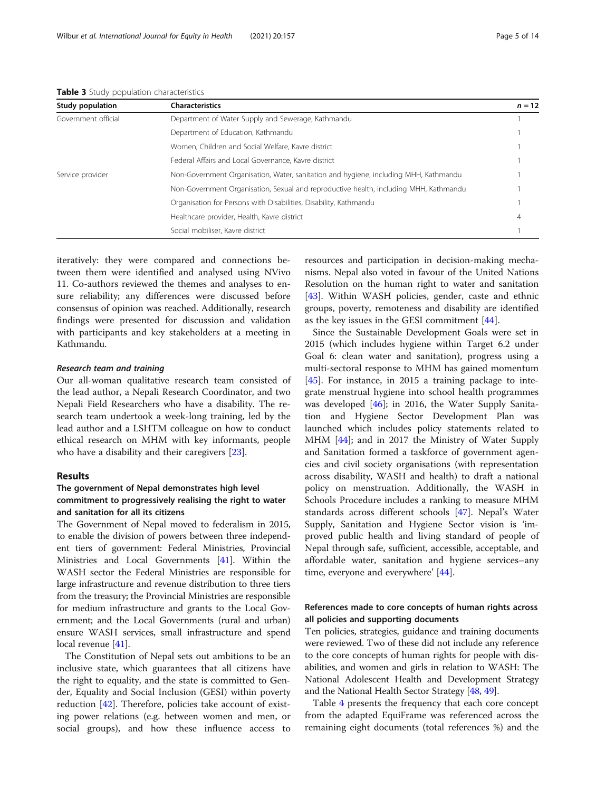| <b>Characteristics</b><br>Study population                                                               | $n = 12$ |
|----------------------------------------------------------------------------------------------------------|----------|
| Government official<br>Department of Water Supply and Sewerage, Kathmandu                                |          |
| Department of Education, Kathmandu                                                                       |          |
| Women, Children and Social Welfare, Kavre district                                                       |          |
| Federal Affairs and Local Governance, Kavre district                                                     |          |
| Service provider<br>Non-Government Organisation, Water, sanitation and hygiene, including MHH, Kathmandu |          |
| Non-Government Organisation, Sexual and reproductive health, including MHH, Kathmandu                    |          |
| Organisation for Persons with Disabilities, Disability, Kathmandu                                        |          |
| Healthcare provider, Health, Kavre district                                                              | 4        |
| Social mobiliser, Kavre district                                                                         |          |

<span id="page-4-0"></span>Table 3 Study population characteristics

iteratively: they were compared and connections between them were identified and analysed using NVivo 11. Co-authors reviewed the themes and analyses to ensure reliability; any differences were discussed before consensus of opinion was reached. Additionally, research findings were presented for discussion and validation with participants and key stakeholders at a meeting in Kathmandu.

#### Research team and training

Our all-woman qualitative research team consisted of the lead author, a Nepali Research Coordinator, and two Nepali Field Researchers who have a disability. The research team undertook a week-long training, led by the lead author and a LSHTM colleague on how to conduct ethical research on MHM with key informants, people who have a disability and their caregivers [[23\]](#page-12-0).

## Results

## The government of Nepal demonstrates high level commitment to progressively realising the right to water and sanitation for all its citizens

The Government of Nepal moved to federalism in 2015, to enable the division of powers between three independent tiers of government: Federal Ministries, Provincial Ministries and Local Governments [\[41\]](#page-12-0). Within the WASH sector the Federal Ministries are responsible for large infrastructure and revenue distribution to three tiers from the treasury; the Provincial Ministries are responsible for medium infrastructure and grants to the Local Government; and the Local Governments (rural and urban) ensure WASH services, small infrastructure and spend local revenue [\[41\]](#page-12-0).

The Constitution of Nepal sets out ambitions to be an inclusive state, which guarantees that all citizens have the right to equality, and the state is committed to Gender, Equality and Social Inclusion (GESI) within poverty reduction [[42](#page-12-0)]. Therefore, policies take account of existing power relations (e.g. between women and men, or social groups), and how these influence access to

resources and participation in decision-making mechanisms. Nepal also voted in favour of the United Nations Resolution on the human right to water and sanitation [[43\]](#page-12-0). Within WASH policies, gender, caste and ethnic groups, poverty, remoteness and disability are identified as the key issues in the GESI commitment [\[44](#page-12-0)].

Since the Sustainable Development Goals were set in 2015 (which includes hygiene within Target 6.2 under Goal 6: clean water and sanitation), progress using a multi-sectoral response to MHM has gained momentum [[45\]](#page-12-0). For instance, in 2015 a training package to integrate menstrual hygiene into school health programmes was developed [[46\]](#page-12-0); in 2016, the Water Supply Sanitation and Hygiene Sector Development Plan was launched which includes policy statements related to MHM [[44\]](#page-12-0); and in 2017 the Ministry of Water Supply and Sanitation formed a taskforce of government agencies and civil society organisations (with representation across disability, WASH and health) to draft a national policy on menstruation. Additionally, the WASH in Schools Procedure includes a ranking to measure MHM standards across different schools [[47](#page-12-0)]. Nepal's Water Supply, Sanitation and Hygiene Sector vision is 'improved public health and living standard of people of Nepal through safe, sufficient, accessible, acceptable, and affordable water, sanitation and hygiene services–any time, everyone and everywhere' [\[44](#page-12-0)].

## References made to core concepts of human rights across all policies and supporting documents

Ten policies, strategies, guidance and training documents were reviewed. Two of these did not include any reference to the core concepts of human rights for people with disabilities, and women and girls in relation to WASH: The National Adolescent Health and Development Strategy and the National Health Sector Strategy [[48](#page-12-0), [49\]](#page-13-0).

Table [4](#page-5-0) presents the frequency that each core concept from the adapted EquiFrame was referenced across the remaining eight documents (total references %) and the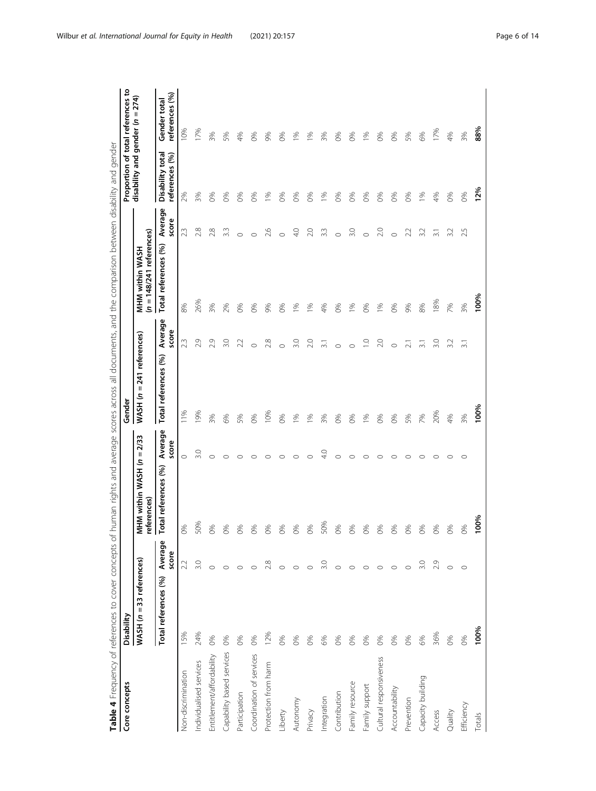<span id="page-5-0"></span>

| Core concepts             | Disability                 |                  |                                              | Gender                         |                  |                                               |                  |                                    | Proportion of total references to |
|---------------------------|----------------------------|------------------|----------------------------------------------|--------------------------------|------------------|-----------------------------------------------|------------------|------------------------------------|-----------------------------------|
|                           | $WASH (n = 33$ references) |                  | $= 2/33$<br>MHM within WASH (n<br>eferences) | $WASH$ ( $n = 241$ references) |                  | $(n = 148/241$ references)<br>MHM within WASH |                  | disability and gender (n = 274)    |                                   |
|                           | Total references (%)       | Average<br>score | Average<br>score<br>otal references (%)      | Total references (%)           | Average<br>score | Total references (%)                          | Average<br>score | Disability total<br>references (%) | references (%)<br>Gender total    |
| Non-discrimination        | 15%                        | 2.2              | $\circ$<br>0%                                | 11%                            | 23               | 8%                                            | 23               | 2%                                 | 10%                               |
| Individualised services   | 24%                        | 3.0              | 3.0<br>50%                                   | 19%                            | 2.9              | 26%                                           | 2.8              | 3%                                 | 17%                               |
| Entitlement/affordability | 0%                         |                  | ⌒<br>0%                                      | 3%                             | 2.9              | 3%                                            | 28               | $\infty$                           | 3%                                |
| Capability based services | 0%                         | $\circ$          | 0%                                           | 6%                             | 3.0              | 2%                                            | 3.3              | $\%$                               | 5%                                |
| Participation             | 0%                         |                  | C<br>0%                                      | 5%                             | 2.2              | ೫                                             | $\subset$        | 86                                 | 4%                                |
| Coordination of services  | 0%                         |                  | c<br>D%                                      | 0%                             | $\circ$          | 0%                                            | $\circ$          | $\frac{8}{6}$                      | 0%                                |
| Protection from harm      | 12%                        | 2.8              | ⌒<br>20%                                     | 10%                            | 2.8              | 9%                                            | 26               | $\frac{8}{6}$                      | 9%                                |
| Liberty                   | 0%                         |                  | ⊂<br>0%                                      | 0%                             | $\circ$          | 0%                                            | $\circ$          | 0%                                 | 0%                                |
| Autonomy                  | 60%                        | $\circ$          | $\circ$<br>3%                                | 1%                             | 3.0              | 1%                                            | $\frac{1}{2}$    | 8                                  | $\frac{5}{6}$                     |
| Privacy                   | 0%                         | $\circ$          | C<br>0%                                      | 1%                             | 2.0              | 1%                                            | 2.0              | 0%                                 | 10%                               |
| Integration               | 6%                         | 3.0              | $\frac{0}{4}$<br>50%                         | 3%                             | $\overline{31}$  | 4%                                            | 3.3              | 10 <sub>0</sub>                    | 3%                                |
| Contribution              | $\infty$                   | $\circ$          | O<br>0%                                      | $\infty$                       | $\circ$          | $\infty$                                      | $\circ$          | $\infty$                           | 0%                                |
| Family resource           | 0%                         |                  | C<br>0%                                      | $\frac{8}{6}$                  | $\circ$          | 196                                           | 3.0              | 68                                 | $^{86}$                           |
| Family support            | 60%                        | $\circ$          | ⊂<br>5%                                      | $\frac{9}{6}$                  | $\overline{C}$   | $\infty$                                      | $\circ$          | 68                                 | 1%                                |
| Cultural responsiveness   | 0%                         | $\circ$          | c<br>0%                                      | 0%                             | 2.0              | 196                                           | 2.0              | 0%                                 | 0%                                |
| Accountability            | 0%                         | $\circ$          | C<br>0%                                      | 0%                             | $\circ$          | 0%                                            | $\subset$        | 0%                                 | 0%                                |
| Prevention                | 60%                        |                  | O<br>5%                                      | 5%                             | $\overline{2}$ . | 9%                                            | 22               | 0%                                 | 5%                                |
| Capacity building         | 6%                         | 3.0              | O<br>20%                                     | 7%                             | $\overline{31}$  | 8%                                            | 3.2              | 10 <sub>6</sub>                    | 6%                                |
| Access                    | 36%                        | 2.9              | $\circ$<br>0%                                | 20%                            | 3.0              | 18%                                           | $\overline{31}$  | 4%                                 | 17%                               |
| Quality                   | 0%                         | $\circ$          | $\circ$<br>5%                                | 4%                             | 3.2              | 7%                                            | 3.2              | 60%                                | 4%                                |
| Efficiency                | 0%                         | $\circ$          | $\circ$<br>2%                                | 3%                             | $\overline{31}$  | 3%                                            | 25               | 0%                                 | 3%                                |
| Totals                    | 100%                       |                  | 100%                                         | 100%                           |                  | 100%                                          |                  | 12%                                | 88%                               |

Table 4 Frequency of references to cover concepts of human rights and average scores across all documents, and the comparison between disability and gender Table 4 Frequency of references to cover concepts of human rights and average scores across all documents, and the comparison between disability and gender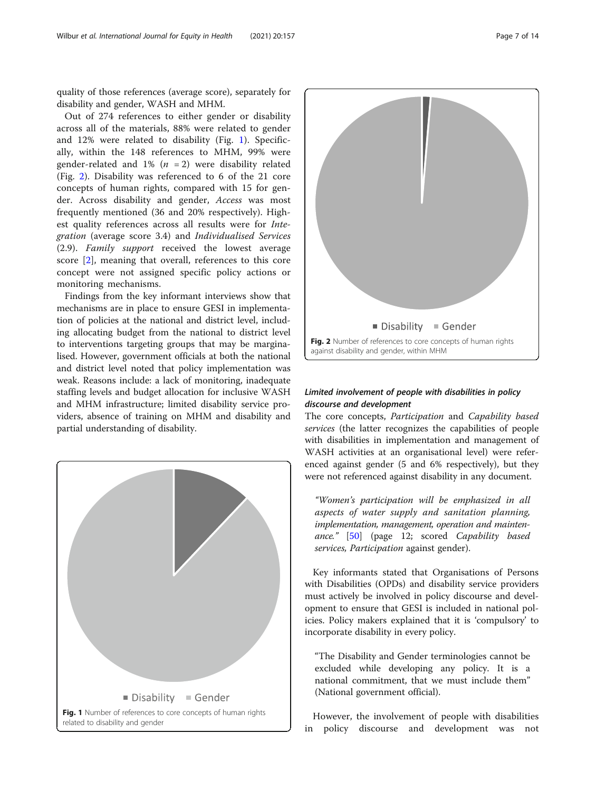quality of those references (average score), separately for disability and gender, WASH and MHM.

Out of 274 references to either gender or disability across all of the materials, 88% were related to gender and 12% were related to disability (Fig. 1). Specifically, within the 148 references to MHM, 99% were gender-related and  $1\%$  ( $n = 2$ ) were disability related (Fig. 2). Disability was referenced to 6 of the 21 core concepts of human rights, compared with 15 for gender. Across disability and gender, Access was most frequently mentioned (36 and 20% respectively). Highest quality references across all results were for Integration (average score 3.4) and Individualised Services (2.9). Family support received the lowest average score [[2\]](#page-11-0), meaning that overall, references to this core concept were not assigned specific policy actions or monitoring mechanisms.

Findings from the key informant interviews show that mechanisms are in place to ensure GESI in implementation of policies at the national and district level, including allocating budget from the national to district level to interventions targeting groups that may be marginalised. However, government officials at both the national and district level noted that policy implementation was weak. Reasons include: a lack of monitoring, inadequate staffing levels and budget allocation for inclusive WASH and MHM infrastructure; limited disability service providers, absence of training on MHM and disability and partial understanding of disability.





## Limited involvement of people with disabilities in policy discourse and development

The core concepts, Participation and Capability based services (the latter recognizes the capabilities of people with disabilities in implementation and management of WASH activities at an organisational level) were referenced against gender (5 and 6% respectively), but they were not referenced against disability in any document.

"Women's participation will be emphasized in all aspects of water supply and sanitation planning, implementation, management, operation and maintenance." [\[50](#page-13-0)] (page 12; scored Capability based services, Participation against gender).

Key informants stated that Organisations of Persons with Disabilities (OPDs) and disability service providers must actively be involved in policy discourse and development to ensure that GESI is included in national policies. Policy makers explained that it is 'compulsory' to incorporate disability in every policy.

"The Disability and Gender terminologies cannot be excluded while developing any policy. It is a national commitment, that we must include them" (National government official).

However, the involvement of people with disabilities in policy discourse and development was not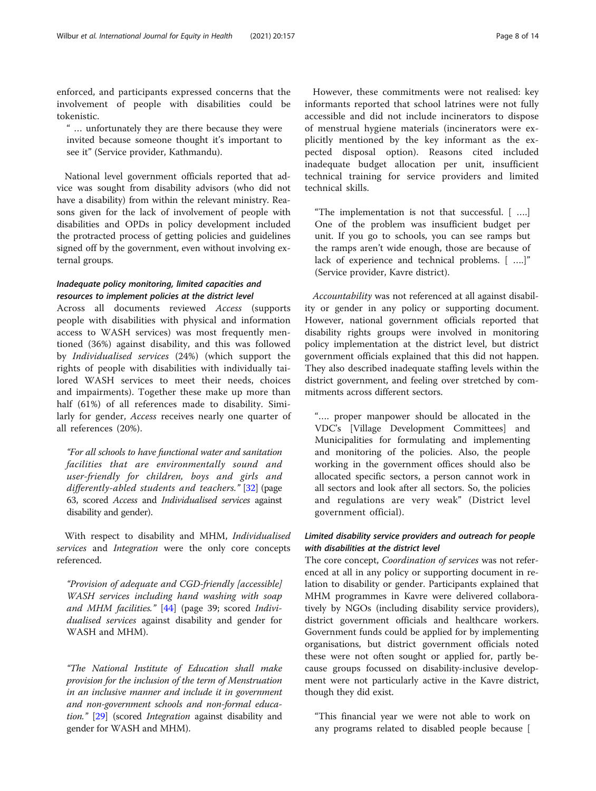enforced, and participants expressed concerns that the involvement of people with disabilities could be tokenistic.

" … unfortunately they are there because they were invited because someone thought it's important to see it" (Service provider, Kathmandu).

National level government officials reported that advice was sought from disability advisors (who did not have a disability) from within the relevant ministry. Reasons given for the lack of involvement of people with disabilities and OPDs in policy development included the protracted process of getting policies and guidelines signed off by the government, even without involving external groups.

## Inadequate policy monitoring, limited capacities and resources to implement policies at the district level

Across all documents reviewed Access (supports people with disabilities with physical and information access to WASH services) was most frequently mentioned (36%) against disability, and this was followed by Individualised services (24%) (which support the rights of people with disabilities with individually tailored WASH services to meet their needs, choices and impairments). Together these make up more than half (61%) of all references made to disability. Similarly for gender, Access receives nearly one quarter of all references (20%).

"For all schools to have functional water and sanitation facilities that are environmentally sound and user-friendly for children, boys and girls and differently-abled students and teachers." [[32](#page-12-0)] (page 63, scored Access and Individualised services against disability and gender).

With respect to disability and MHM, Individualised services and *Integration* were the only core concepts referenced.

"Provision of adequate and CGD-friendly [accessible] WASH services including hand washing with soap and MHM facilities." [[44](#page-12-0)] (page 39; scored Individualised services against disability and gender for WASH and MHM).

"The National Institute of Education shall make provision for the inclusion of the term of Menstruation in an inclusive manner and include it in government and non-government schools and non-formal education." [\[29\]](#page-12-0) (scored Integration against disability and gender for WASH and MHM).

However, these commitments were not realised: key informants reported that school latrines were not fully accessible and did not include incinerators to dispose of menstrual hygiene materials (incinerators were explicitly mentioned by the key informant as the expected disposal option). Reasons cited included inadequate budget allocation per unit, insufficient technical training for service providers and limited technical skills.

"The implementation is not that successful. [ ….] One of the problem was insufficient budget per unit. If you go to schools, you can see ramps but the ramps aren't wide enough, those are because of lack of experience and technical problems. [ ….]" (Service provider, Kavre district).

Accountability was not referenced at all against disability or gender in any policy or supporting document. However, national government officials reported that disability rights groups were involved in monitoring policy implementation at the district level, but district government officials explained that this did not happen. They also described inadequate staffing levels within the district government, and feeling over stretched by commitments across different sectors.

"…. proper manpower should be allocated in the VDC's [Village Development Committees] and Municipalities for formulating and implementing and monitoring of the policies. Also, the people working in the government offices should also be allocated specific sectors, a person cannot work in all sectors and look after all sectors. So, the policies and regulations are very weak" (District level government official).

## Limited disability service providers and outreach for people with disabilities at the district level

The core concept, Coordination of services was not referenced at all in any policy or supporting document in relation to disability or gender. Participants explained that MHM programmes in Kavre were delivered collaboratively by NGOs (including disability service providers), district government officials and healthcare workers. Government funds could be applied for by implementing organisations, but district government officials noted these were not often sought or applied for, partly because groups focussed on disability-inclusive development were not particularly active in the Kavre district, though they did exist.

"This financial year we were not able to work on any programs related to disabled people because [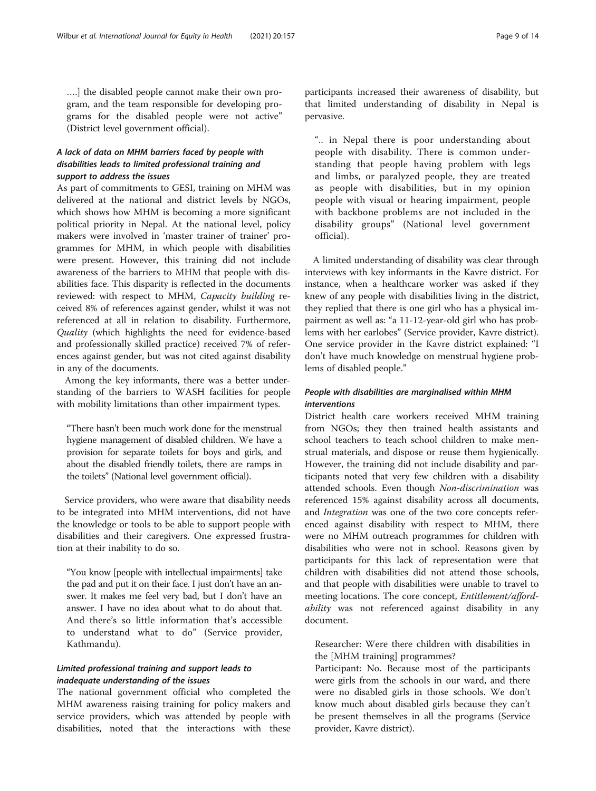….] the disabled people cannot make their own program, and the team responsible for developing programs for the disabled people were not active" (District level government official).

## A lack of data on MHM barriers faced by people with disabilities leads to limited professional training and support to address the issues

As part of commitments to GESI, training on MHM was delivered at the national and district levels by NGOs, which shows how MHM is becoming a more significant political priority in Nepal. At the national level, policy makers were involved in 'master trainer of trainer' programmes for MHM, in which people with disabilities were present. However, this training did not include awareness of the barriers to MHM that people with disabilities face. This disparity is reflected in the documents reviewed: with respect to MHM, Capacity building received 8% of references against gender, whilst it was not referenced at all in relation to disability. Furthermore, Quality (which highlights the need for evidence-based and professionally skilled practice) received 7% of references against gender, but was not cited against disability in any of the documents.

Among the key informants, there was a better understanding of the barriers to WASH facilities for people with mobility limitations than other impairment types.

"There hasn't been much work done for the menstrual hygiene management of disabled children. We have a provision for separate toilets for boys and girls, and about the disabled friendly toilets, there are ramps in the toilets" (National level government official).

Service providers, who were aware that disability needs to be integrated into MHM interventions, did not have the knowledge or tools to be able to support people with disabilities and their caregivers. One expressed frustration at their inability to do so.

"You know [people with intellectual impairments] take the pad and put it on their face. I just don't have an answer. It makes me feel very bad, but I don't have an answer. I have no idea about what to do about that. And there's so little information that's accessible to understand what to do" (Service provider, Kathmandu).

## Limited professional training and support leads to inadequate understanding of the issues

The national government official who completed the MHM awareness raising training for policy makers and service providers, which was attended by people with disabilities, noted that the interactions with these participants increased their awareness of disability, but that limited understanding of disability in Nepal is pervasive.

".. in Nepal there is poor understanding about people with disability. There is common understanding that people having problem with legs and limbs, or paralyzed people, they are treated as people with disabilities, but in my opinion people with visual or hearing impairment, people with backbone problems are not included in the disability groups" (National level government official).

A limited understanding of disability was clear through interviews with key informants in the Kavre district. For instance, when a healthcare worker was asked if they knew of any people with disabilities living in the district, they replied that there is one girl who has a physical impairment as well as: "a 11-12-year-old girl who has problems with her earlobes" (Service provider, Kavre district). One service provider in the Kavre district explained: "I don't have much knowledge on menstrual hygiene problems of disabled people."

## People with disabilities are marginalised within MHM interventions

District health care workers received MHM training from NGOs; they then trained health assistants and school teachers to teach school children to make menstrual materials, and dispose or reuse them hygienically. However, the training did not include disability and participants noted that very few children with a disability attended schools. Even though Non-discrimination was referenced 15% against disability across all documents, and Integration was one of the two core concepts referenced against disability with respect to MHM, there were no MHM outreach programmes for children with disabilities who were not in school. Reasons given by participants for this lack of representation were that children with disabilities did not attend those schools, and that people with disabilities were unable to travel to meeting locations. The core concept, Entitlement/affordability was not referenced against disability in any document.

Researcher: Were there children with disabilities in the [MHM training] programmes?

Participant: No. Because most of the participants were girls from the schools in our ward, and there were no disabled girls in those schools. We don't know much about disabled girls because they can't be present themselves in all the programs (Service provider, Kavre district).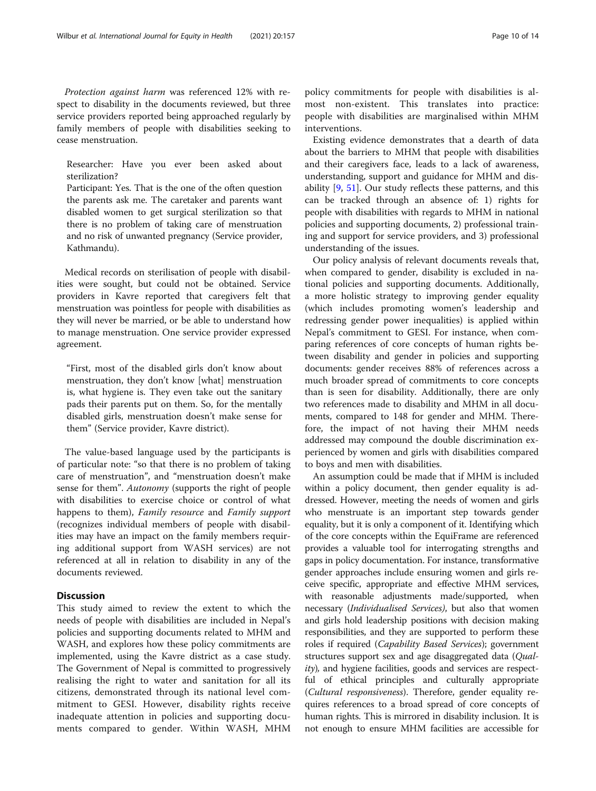Protection against harm was referenced 12% with respect to disability in the documents reviewed, but three service providers reported being approached regularly by family members of people with disabilities seeking to cease menstruation.

Researcher: Have you ever been asked about sterilization?

Participant: Yes. That is the one of the often question the parents ask me. The caretaker and parents want disabled women to get surgical sterilization so that there is no problem of taking care of menstruation and no risk of unwanted pregnancy (Service provider, Kathmandu).

Medical records on sterilisation of people with disabilities were sought, but could not be obtained. Service providers in Kavre reported that caregivers felt that menstruation was pointless for people with disabilities as they will never be married, or be able to understand how to manage menstruation. One service provider expressed agreement.

"First, most of the disabled girls don't know about menstruation, they don't know [what] menstruation is, what hygiene is. They even take out the sanitary pads their parents put on them. So, for the mentally disabled girls, menstruation doesn't make sense for them" (Service provider, Kavre district).

The value-based language used by the participants is of particular note: "so that there is no problem of taking care of menstruation", and "menstruation doesn't make sense for them". Autonomy (supports the right of people with disabilities to exercise choice or control of what happens to them), Family resource and Family support (recognizes individual members of people with disabilities may have an impact on the family members requiring additional support from WASH services) are not referenced at all in relation to disability in any of the documents reviewed.

## **Discussion**

This study aimed to review the extent to which the needs of people with disabilities are included in Nepal's policies and supporting documents related to MHM and WASH, and explores how these policy commitments are implemented, using the Kavre district as a case study. The Government of Nepal is committed to progressively realising the right to water and sanitation for all its citizens, demonstrated through its national level commitment to GESI. However, disability rights receive inadequate attention in policies and supporting documents compared to gender. Within WASH, MHM

policy commitments for people with disabilities is almost non-existent. This translates into practice: people with disabilities are marginalised within MHM interventions.

Existing evidence demonstrates that a dearth of data about the barriers to MHM that people with disabilities and their caregivers face, leads to a lack of awareness, understanding, support and guidance for MHM and disability [[9,](#page-12-0) [51](#page-13-0)]. Our study reflects these patterns, and this can be tracked through an absence of: 1) rights for people with disabilities with regards to MHM in national policies and supporting documents, 2) professional training and support for service providers, and 3) professional understanding of the issues.

Our policy analysis of relevant documents reveals that, when compared to gender, disability is excluded in national policies and supporting documents. Additionally, a more holistic strategy to improving gender equality (which includes promoting women's leadership and redressing gender power inequalities) is applied within Nepal's commitment to GESI. For instance, when comparing references of core concepts of human rights between disability and gender in policies and supporting documents: gender receives 88% of references across a much broader spread of commitments to core concepts than is seen for disability. Additionally, there are only two references made to disability and MHM in all documents, compared to 148 for gender and MHM. Therefore, the impact of not having their MHM needs addressed may compound the double discrimination experienced by women and girls with disabilities compared to boys and men with disabilities.

An assumption could be made that if MHM is included within a policy document, then gender equality is addressed. However, meeting the needs of women and girls who menstruate is an important step towards gender equality, but it is only a component of it. Identifying which of the core concepts within the EquiFrame are referenced provides a valuable tool for interrogating strengths and gaps in policy documentation. For instance, transformative gender approaches include ensuring women and girls receive specific, appropriate and effective MHM services, with reasonable adjustments made/supported, when necessary (Individualised Services), but also that women and girls hold leadership positions with decision making responsibilities, and they are supported to perform these roles if required (Capability Based Services); government structures support sex and age disaggregated data (Quality), and hygiene facilities, goods and services are respectful of ethical principles and culturally appropriate (Cultural responsiveness). Therefore, gender equality requires references to a broad spread of core concepts of human rights. This is mirrored in disability inclusion. It is not enough to ensure MHM facilities are accessible for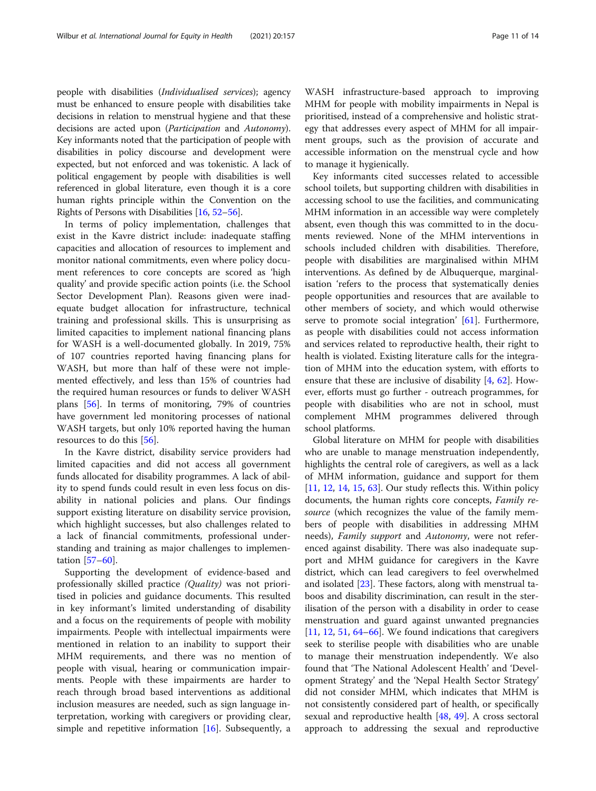people with disabilities (Individualised services); agency must be enhanced to ensure people with disabilities take decisions in relation to menstrual hygiene and that these decisions are acted upon (Participation and Autonomy). Key informants noted that the participation of people with disabilities in policy discourse and development were expected, but not enforced and was tokenistic. A lack of political engagement by people with disabilities is well referenced in global literature, even though it is a core human rights principle within the Convention on the Rights of Persons with Disabilities [\[16,](#page-12-0) [52](#page-13-0)–[56](#page-13-0)].

In terms of policy implementation, challenges that exist in the Kavre district include: inadequate staffing capacities and allocation of resources to implement and monitor national commitments, even where policy document references to core concepts are scored as 'high quality' and provide specific action points (i.e. the School Sector Development Plan). Reasons given were inadequate budget allocation for infrastructure, technical training and professional skills. This is unsurprising as limited capacities to implement national financing plans for WASH is a well-documented globally. In 2019, 75% of 107 countries reported having financing plans for WASH, but more than half of these were not implemented effectively, and less than 15% of countries had the required human resources or funds to deliver WASH plans [[56\]](#page-13-0). In terms of monitoring, 79% of countries have government led monitoring processes of national WASH targets, but only 10% reported having the human resources to do this [[56](#page-13-0)].

In the Kavre district, disability service providers had limited capacities and did not access all government funds allocated for disability programmes. A lack of ability to spend funds could result in even less focus on disability in national policies and plans. Our findings support existing literature on disability service provision, which highlight successes, but also challenges related to a lack of financial commitments, professional understanding and training as major challenges to implementation [[57](#page-13-0)–[60](#page-13-0)].

Supporting the development of evidence-based and professionally skilled practice (Quality) was not prioritised in policies and guidance documents. This resulted in key informant's limited understanding of disability and a focus on the requirements of people with mobility impairments. People with intellectual impairments were mentioned in relation to an inability to support their MHM requirements, and there was no mention of people with visual, hearing or communication impairments. People with these impairments are harder to reach through broad based interventions as additional inclusion measures are needed, such as sign language interpretation, working with caregivers or providing clear, simple and repetitive information [[16\]](#page-12-0). Subsequently, a

WASH infrastructure-based approach to improving MHM for people with mobility impairments in Nepal is prioritised, instead of a comprehensive and holistic strategy that addresses every aspect of MHM for all impairment groups, such as the provision of accurate and accessible information on the menstrual cycle and how to manage it hygienically.

Key informants cited successes related to accessible school toilets, but supporting children with disabilities in accessing school to use the facilities, and communicating MHM information in an accessible way were completely absent, even though this was committed to in the documents reviewed. None of the MHM interventions in schools included children with disabilities. Therefore, people with disabilities are marginalised within MHM interventions. As defined by de Albuquerque, marginalisation 'refers to the process that systematically denies people opportunities and resources that are available to other members of society, and which would otherwise serve to promote social integration' [[61](#page-13-0)]. Furthermore, as people with disabilities could not access information and services related to reproductive health, their right to health is violated. Existing literature calls for the integration of MHM into the education system, with efforts to ensure that these are inclusive of disability [[4,](#page-11-0) [62\]](#page-13-0). However, efforts must go further - outreach programmes, for people with disabilities who are not in school, must complement MHM programmes delivered through school platforms.

Global literature on MHM for people with disabilities who are unable to manage menstruation independently, highlights the central role of caregivers, as well as a lack of MHM information, guidance and support for them [[11,](#page-12-0) [12,](#page-12-0) [14,](#page-12-0) [15,](#page-12-0) [63](#page-13-0)]. Our study reflects this. Within policy documents, the human rights core concepts, Family resource (which recognizes the value of the family members of people with disabilities in addressing MHM needs), Family support and Autonomy, were not referenced against disability. There was also inadequate support and MHM guidance for caregivers in the Kavre district, which can lead caregivers to feel overwhelmed and isolated [[23\]](#page-12-0). These factors, along with menstrual taboos and disability discrimination, can result in the sterilisation of the person with a disability in order to cease menstruation and guard against unwanted pregnancies [[11,](#page-12-0) [12,](#page-12-0) [51,](#page-13-0) [64](#page-13-0)–[66\]](#page-13-0). We found indications that caregivers seek to sterilise people with disabilities who are unable to manage their menstruation independently. We also found that 'The National Adolescent Health' and 'Development Strategy' and the 'Nepal Health Sector Strategy' did not consider MHM, which indicates that MHM is not consistently considered part of health, or specifically sexual and reproductive health [[48](#page-12-0), [49\]](#page-13-0). A cross sectoral approach to addressing the sexual and reproductive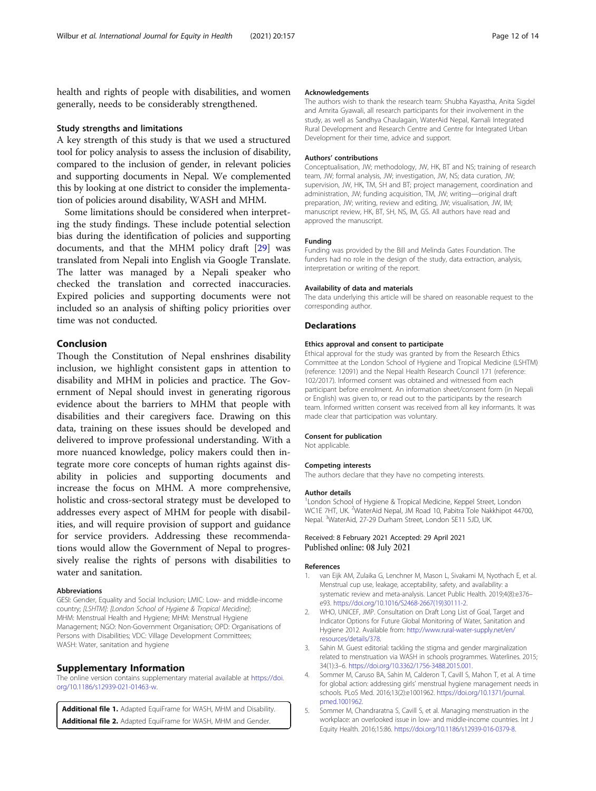<span id="page-11-0"></span>health and rights of people with disabilities, and women generally, needs to be considerably strengthened.

## Study strengths and limitations

A key strength of this study is that we used a structured tool for policy analysis to assess the inclusion of disability, compared to the inclusion of gender, in relevant policies and supporting documents in Nepal. We complemented this by looking at one district to consider the implementation of policies around disability, WASH and MHM.

Some limitations should be considered when interpreting the study findings. These include potential selection bias during the identification of policies and supporting documents, and that the MHM policy draft [\[29](#page-12-0)] was translated from Nepali into English via Google Translate. The latter was managed by a Nepali speaker who checked the translation and corrected inaccuracies. Expired policies and supporting documents were not included so an analysis of shifting policy priorities over time was not conducted.

## Conclusion

Though the Constitution of Nepal enshrines disability inclusion, we highlight consistent gaps in attention to disability and MHM in policies and practice. The Government of Nepal should invest in generating rigorous evidence about the barriers to MHM that people with disabilities and their caregivers face. Drawing on this data, training on these issues should be developed and delivered to improve professional understanding. With a more nuanced knowledge, policy makers could then integrate more core concepts of human rights against disability in policies and supporting documents and increase the focus on MHM. A more comprehensive, holistic and cross-sectoral strategy must be developed to addresses every aspect of MHM for people with disabilities, and will require provision of support and guidance for service providers. Addressing these recommendations would allow the Government of Nepal to progressively realise the rights of persons with disabilities to water and sanitation.

#### Abbreviations

GESI: Gender, Equality and Social Inclusion; LMIC: Low- and middle-income country; [LSHTM]: [London School of Hygiene & Tropical Mecidine]; MHM: Menstrual Health and Hygiene; MHM: Menstrual Hygiene Management; NGO: Non-Government Organisation; OPD: Organisations of Persons with Disabilities; VDC: Village Development Committees; WASH: Water, sanitation and hygiene

## Supplementary Information

The online version contains supplementary material available at [https://doi.](https://doi.org/10.1186/s12939-021-01463-w) [org/10.1186/s12939-021-01463-w](https://doi.org/10.1186/s12939-021-01463-w).

Additional file 1. Adapted EquiFrame for WASH, MHM and Disability. Additional file 2. Adapted EquiFrame for WASH, MHM and Gender.

#### Acknowledgements

The authors wish to thank the research team: Shubha Kayastha, Anita Sigdel and Amrita Gyawali, all research participants for their involvement in the study, as well as Sandhya Chaulagain, WaterAid Nepal, Karnali Integrated Rural Development and Research Centre and Centre for Integrated Urban Development for their time, advice and support.

#### Authors' contributions

Conceptualisation, JW; methodology, JW, HK, BT and NS; training of research team, JW; formal analysis, JW; investigation, JW, NS; data curation, JW; supervision, JW, HK, TM, SH and BT; project management, coordination and administration, JW; funding acquisition, TM, JW; writing—original draft preparation, JW; writing, review and editing, JW; visualisation, JW, IM; manuscript review, HK, BT, SH, NS, IM, GS. All authors have read and approved the manuscript.

#### Funding

Funding was provided by the Bill and Melinda Gates Foundation. The funders had no role in the design of the study, data extraction, analysis, interpretation or writing of the report.

#### Availability of data and materials

The data underlying this article will be shared on reasonable request to the corresponding author.

## **Declarations**

#### Ethics approval and consent to participate

Ethical approval for the study was granted by from the Research Ethics Committee at the London School of Hygiene and Tropical Medicine (LSHTM) (reference: 12091) and the Nepal Health Research Council 171 (reference: 102/2017). Informed consent was obtained and witnessed from each participant before enrolment. An information sheet/consent form (in Nepali or English) was given to, or read out to the participants by the research team. Informed written consent was received from all key informants. It was made clear that participation was voluntary.

#### Consent for publication

Not applicable.

#### Competing interests

The authors declare that they have no competing interests.

#### Author details

<sup>1</sup> London School of Hygiene & Tropical Medicine, Keppel Street, London WC1E 7HT, UK. <sup>2</sup>WaterAid Nepal, JM Road 10, Pabitra Tole Nakkhipot 44700 Nepal. <sup>3</sup>WaterAid, 27-29 Durham Street, London SE11 5JD, UK.

#### Received: 8 February 2021 Accepted: 29 April 2021 Published online: 08 July 2021

#### References

- 1. van Eijk AM, Zulaika G, Lenchner M, Mason L, Sivakami M, Nyothach E, et al. Menstrual cup use, leakage, acceptability, safety, and availability: a systematic review and meta-analysis. Lancet Public Health. 2019;4(8):e376– e93. [https://doi.org/10.1016/S2468-2667\(19\)30111-2](https://doi.org/10.1016/S2468-2667(19)30111-2).
- 2. WHO, UNICEF, JMP. Consultation on Draft Long List of Goal, Target and Indicator Options for Future Global Monitoring of Water, Sanitation and Hygiene 2012. Available from: [http://www.rural-water-supply.net/en/](http://www.rural-water-supply.net/en/resources/details/378) [resources/details/378.](http://www.rural-water-supply.net/en/resources/details/378)
- Sahin M. Guest editorial: tackling the stigma and gender marginalization related to menstruation via WASH in schools programmes. Waterlines. 2015; 34(1):3–6. <https://doi.org/10.3362/1756-3488.2015.001>.
- 4. Sommer M, Caruso BA, Sahin M, Calderon T, Cavill S, Mahon T, et al. A time for global action: addressing girls' menstrual hygiene management needs in schools. PLoS Med. 2016;13(2):e1001962. [https://doi.org/10.1371/journal.](https://doi.org/10.1371/journal.pmed.1001962) [pmed.1001962.](https://doi.org/10.1371/journal.pmed.1001962)
- 5. Sommer M, Chandraratna S, Cavill S, et al. Managing menstruation in the workplace: an overlooked issue in low- and middle-income countries. Int J Equity Health. 2016;15:86. [https://doi.org/10.1186/s12939-016-0379-8.](https://doi.org/10.1186/s12939-016-0379-8)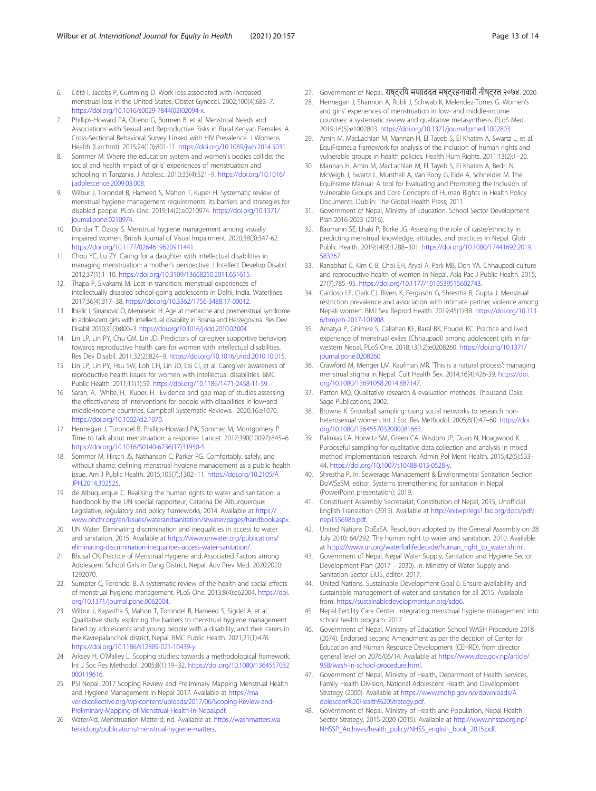- <span id="page-12-0"></span>6. Côté I, Jacobs P, Cumming D. Work loss associated with increased menstrual loss in the United States. Obstet Gynecol. 2002;100(4):683–7. [https://doi.org/10.1016/s0029-7844\(02\)02094-x.](https://doi.org/10.1016/s0029-7844(02)02094-x)
- 7. Phillips-Howard PA, Otieno G, Burmen B, et al. Menstrual Needs and Associations with Sexual and Reproductive Risks in Rural Kenyan Females: A Cross-Sectional Behavioral Survey Linked with HIV Prevalence. J Womens Health (Larchmt). 2015;24(10):801-11. [https://doi.org/10.1089/jwh.2014.5031.](https://doi.org/10.1089/jwh.2014.5031)
- Sommer M. Where the education system and women's bodies collide: the social and health impact of girls' experiences of menstruation and schooling in Tanzania. J Adolesc. 2010;33(4):521–9. [https://doi.org/10.1016/](https://doi.org/10.1016/j.adolescence.2009.03.008) [j.adolescence.2009.03.008.](https://doi.org/10.1016/j.adolescence.2009.03.008)
- 9. Wilbur J, Torondel B, Hameed S, Mahon T, Kuper H. Systematic review of menstrual hygiene management requirements, its barriers and strategies for disabled people. PLoS One. 2019;14(2):e0210974. [https://doi.org/10.1371/](https://doi.org/10.1371/journal.pone.0210974) [journal.pone.0210974](https://doi.org/10.1371/journal.pone.0210974)
- 10. Dündar T, Özsoy S. Menstrual hygiene management among visually impaired women. British Journal of Visual Impairment. 2020;38(3):347-62. <https://doi.org/10.1177/0264619620911441>.
- 11. Chou YC, Lu ZY. Caring for a daughter with intellectual disabilities in managing menstruation: a mother's perspective. J Intellect Develop Disabil. 2012;37(1):1–10. [https://doi.org/10.3109/13668250.2011.651615.](https://doi.org/10.3109/13668250.2011.651615)
- 12. Thapa P, Sivakami M. Lost in transition: menstrual experiences of intellectually disabled school-going adolescents in Delhi, India. Waterlines. 2017;36(4):317–38. <https://doi.org/10.3362/1756-3488.17-00012>.
- 13. Ibralic I, Sinanovic O, Memisevic H. Age at menarche and premenstrual syndrome in adolescent girls with intellectual disability in Bosnia and Herzegovina. Res Dev Disabil. 2010;31(3):800–3. [https://doi.org/10.1016/j.ridd.2010.02.004.](https://doi.org/10.1016/j.ridd.2010.02.004)
- 14. Lin LP, Lin PY, Chu CM, Lin JD. Predictors of caregiver supportive behaviors towards reproductive health care for women with intellectual disabilities. Res Dev Disabil. 2011;32(2):824–9. [https://doi.org/10.1016/j.ridd.2010.10.015.](https://doi.org/10.1016/j.ridd.2010.10.015)
- 15. Lin LP, Lin PY, Hsu SW, Loh CH, Lin JD, Lai CI, et al. Caregiver awareness of reproductive health issues for women with intellectual disabilities. BMC Public Health. 2011;11(1):59. <https://doi.org/10.1186/1471-2458-11-59>.
- 16. Saran, A, White, H, Kuper, H. Evidence and gap map of studies assessing the effectiveness of interventions for people with disabilities in low-and middle‐income countries. Campbell Systematic Reviews. 2020;16:e1070. [https://doi.org/10.1002/cl2.1070.](https://doi.org/10.1002/cl2.1070)
- 17. Hennegan J, Torondel B, Phillips-Howard PA, Sommer M, Montgomery P. Time to talk about menstruation: a response. Lancet. 2017;390(10097):845–6. [https://doi.org/10.1016/S0140-6736\(17\)31950-5.](https://doi.org/10.1016/S0140-6736(17)31950-5)
- 18. Sommer M, Hirsch JS, Nathanson C, Parker RG. Comfortably, safely, and without shame: defining menstrual hygiene management as a public health issue. Am J Public Health. 2015;105(7):1302–11. [https://doi.org/10.2105/A](https://doi.org/10.2105/AJPH.2014.302525) [JPH.2014.302525.](https://doi.org/10.2105/AJPH.2014.302525)
- 19. de Albuquerque C. Realising the human rights to water and sanitation: a handbook by the UN special rapporteur, Catarina De Alburquerque: Legislative, regulatory and policy frameworks; 2014. Available at [https://](https://www.ohchr.org/en/issues/waterandsanitation/srwater/pages/handbook.aspx) [www.ohchr.org/en/issues/waterandsanitation/srwater/pages/handbook.aspx.](https://www.ohchr.org/en/issues/waterandsanitation/srwater/pages/handbook.aspx)
- 20. UN Water. Eliminating discrimination and inequalities in access to water and sanitation. 2015. Available at [https://www.unwater.org/publications/](https://www.unwater.org/publications/eliminating-discrimination-inequalities-access-water-sanitation/) [eliminating-discrimination-inequalities-access-water-sanitation/](https://www.unwater.org/publications/eliminating-discrimination-inequalities-access-water-sanitation/).
- 21. Bhusal CK. Practice of Menstrual Hygiene and Associated Factors among Adolescent School Girls in Dang District, Nepal. Adv Prev Med. 2020;2020: 1292070.
- 22. Sumpter C, Torondel B. A systematic review of the health and social effects of menstrual hygiene management. PLoS One. 2013;8(4):e62004. [https://doi.](https://doi.org/10.1371/journal.pone.0062004) [org/10.1371/journal.pone.0062004.](https://doi.org/10.1371/journal.pone.0062004)
- 23. Wilbur J, Kayastha S, Mahon T, Torondel B, Hameed S, Sigdel A, et al. Qualitative study exploring the barriers to menstrual hygiene management faced by adolescents and young people with a disability, and their carers in the Kavrepalanchok district, Nepal. BMC Public Health. 2021;21(1):476. <https://doi.org/10.1186/s12889-021-10439-y>.
- 24. Arksey H, O'Malley L. Scoping studies: towards a methodological framework. Int J Soc Res Methodol. 2005;8(1):19–32. [https://doi.org/10.1080/1364557032](https://doi.org/10.1080/1364557032000119616) [000119616](https://doi.org/10.1080/1364557032000119616)
- 25. PSI Nepal. 2017 Scoping Review and Preliminary Mapping Menstrual Health and Hygiene Management in Nepal 2017. Available at [https://ma](https://maverickcollective.org/wp-content/uploads/2017/06/Scoping-Review-and-Preliminary-Mapping-of-Menstrual-Health-in-Nepal.pdf) [verickcollective.org/wp-content/uploads/2017/06/Scoping-Review-and-](https://maverickcollective.org/wp-content/uploads/2017/06/Scoping-Review-and-Preliminary-Mapping-of-Menstrual-Health-in-Nepal.pdf)[Preliminary-Mapping-of-Menstrual-Health-in-Nepal.pdf.](https://maverickcollective.org/wp-content/uploads/2017/06/Scoping-Review-and-Preliminary-Mapping-of-Menstrual-Health-in-Nepal.pdf)
- 26. WaterAid. Menstruation Matters!; nd. Available at: [https://washmatters.wa](https://washmatters.wateraid.org/publications/menstrual-hygiene-matters) [teraid.org/publications/menstrual-hygiene-matters.](https://washmatters.wateraid.org/publications/menstrual-hygiene-matters)
- 27. Government of Nepal. राष्ट्रिय मयााददत मष्ट्रहनावारी नीष्ट्रत २०७४. 2020.
- 28. Hennegan J, Shannon A, Rubli J, Schwab K, Melendez-Torres G. Women's and girls' experiences of menstruation in low- and middle-income countries: a systematic review and qualitative metasynthesis. PLoS Med. 2019;16(5):e1002803. <https://doi.org/10.1371/journal.pmed.1002803>.
- 29. Amin M, MacLachlan M, Mannan H, El Tayeb S, El Khatim A, Swartz L, et al. EquiFrame: a framework for analysis of the inclusion of human rights and vulnerable groups in health policies. Health Hum Rights. 2011;13(2):1–20.
- 30. Mannan H, Amin M, MacLachlan M, El Tayeb S, El Khatim A, Bedri N, McVeigh J, Swartz L, Munthali A, Van Rooy G, Eide A, Schneider M. The EquiFrame Manual: A tool for Evaluating and Promoting the Inclusion of Vulnerable Groups and Core Concepts of Human Rights in Health Policy Documents. Dublin: The Global Health Press; 2011.
- 31. Government of Nepal, Ministry of Education. School Sector Development Plan 2016-2023 (2016).
- 32. Baumann SE, Lhaki P, Burke JG. Assessing the role of caste/ethnicity in predicting menstrual knowledge, attitudes, and practices in Nepal. Glob Public Health. 2019;14(9):1288–301. [https://doi.org/10.1080/17441692.2019.1](https://doi.org/10.1080/17441692.2019.1583267) [583267](https://doi.org/10.1080/17441692.2019.1583267).
- 33. Ranabhat C, Kim C-B, Choi EH, Aryal A, Park MB, Doh YA. Chhaupadi culture and reproductive health of women in Nepal. Asia Pac J Public Health. 2015; 27(7):785–95. [https://doi.org/10.1177/1010539515602743.](https://doi.org/10.1177/1010539515602743)
- 34. Cardoso LF, Clark CJ, Rivers K, Ferguson G, Shrestha B, Gupta J. Menstrual restriction prevalence and association with intimate partner violence among Nepali women. BMJ Sex Reprod Health. 2019;45(1):38. [https://doi.org/10.113](https://doi.org/10.1136/bmjsrh-2017-101908) [6/bmjsrh-2017-101908](https://doi.org/10.1136/bmjsrh-2017-101908).
- 35. Amatya P, Ghimire S, Callahan KE, Baral BK, Poudel KC. Practice and lived experience of menstrual exiles (Chhaupadi) among adolescent girls in farwestern Nepal. PLoS One. 2018;13(12):e0208260. [https://doi.org/10.1371/](https://doi.org/10.1371/journal.pone.0208260) [journal.pone.0208260](https://doi.org/10.1371/journal.pone.0208260).
- 36. Crawford M, Menger LM, Kaufman MR. 'This is a natural process': managing menstrual stigma in Nepal. Cult Health Sex. 2014;16(4):426-39. [https://doi.](https://doi.org/10.1080/13691058.2014.887147) [org/10.1080/13691058.2014.887147.](https://doi.org/10.1080/13691058.2014.887147)
- Patton MQ. Qualitative research & evaluation methods. Thousand Oaks: Sage Publications; 2002.
- 38. Browne K. Snowball sampling: using social networks to research nonheterosexual women. Int J Soc Res Methodol. 2005;8(1):47–60. [https://doi.](https://doi.org/10.1080/1364557032000081663) [org/10.1080/1364557032000081663.](https://doi.org/10.1080/1364557032000081663)
- 39. Palinkas LA, Horwitz SM, Green CA, Wisdom JP, Duan N, Hoagwood K. Purposeful sampling for qualitative data collection and analysis in mixed method implementation research. Admin Pol Ment Health. 2015;42(5):533– 44. [https://doi.org/10.1007/s10488-013-0528-y.](https://doi.org/10.1007/s10488-013-0528-y)
- Shrestha P. In: Sewerage Management & Environmental Sanitation Section DoWSaSM, editor. Systems strengthening for sanitation in Nepal (PowerPoint presentation); 2019.
- 41. Constituent Assembly Secretariat, Constitution of Nepal, 2015, Unofficial English Translation (2015). Available at [http://extwprlegs1.fao.org/docs/pdf/](http://extwprlegs1.fao.org/docs/pdf/nep155698b.pdf) [nep155698b.pdf.](http://extwprlegs1.fao.org/docs/pdf/nep155698b.pdf)
- 42. United Nations DoEaSA. Resolution adopted by the General Assembly on 28 July 2010; 64/292. The human right to water and sanitation. 2010. Available at [https://www.un.org/waterforlifedecade/human\\_right\\_to\\_water.shtml.](https://www.un.org/waterforlifedecade/human_right_to_water.shtml)
- 43. Government of Nepal. Nepal Water Supply, Sanitation and Hygiene Sector Development Plan (2017 – 2030). In: Ministry of Water Supply and Sanitation Sector EIUS, editor. 2017.
- 44. United Nations. Sustainable Development Goal 6: Ensure availability and sustainable management of water and sanitation for all 2015. Available from: [https://sustainabledevelopment.un.org/sdg6.](https://sustainabledevelopment.un.org/sdg6)
- 45. Nepal Fertility Care Center. Integrating menstrual hygiene management into school health program. 2017.
- 46. Government of Nepal, Ministry of Education School WASH Procedure 2018 (2074). Endorsed second Amendment as per the decision of Center for Education and Human Resource Development (CEHRD), from director general level on 2076/06/14. Available at [https://www.doe.gov.np/article/](https://www.doe.gov.np/article/958/wash-in-school-procedure.html) [958/wash-in-school-procedure.html.](https://www.doe.gov.np/article/958/wash-in-school-procedure.html)
- 47. Government of Nepal, Ministry of Health, Department of Health Services, Family Health Division, National Adolescent Health and Development Strategy (2000). Available at [https://www.mohp.gov.np/downloads/A](https://www.mohp.gov.np/downloads/Adolescent%20Health%20Strategy.pdf) [dolescent%20Health%20Strategy.pdf.](https://www.mohp.gov.np/downloads/Adolescent%20Health%20Strategy.pdf)
- 48. Government of Nepal, Ministry of Health and Population, Nepal Health Sector Strategy, 2015-2020 (2015). Available at [http://www.nhssp.org.np/](http://www.nhssp.org.np/NHSSP_Archives/health_policy/NHSS_english_book_2015.pdf) [NHSSP\\_Archives/health\\_policy/NHSS\\_english\\_book\\_2015.pdf.](http://www.nhssp.org.np/NHSSP_Archives/health_policy/NHSS_english_book_2015.pdf)